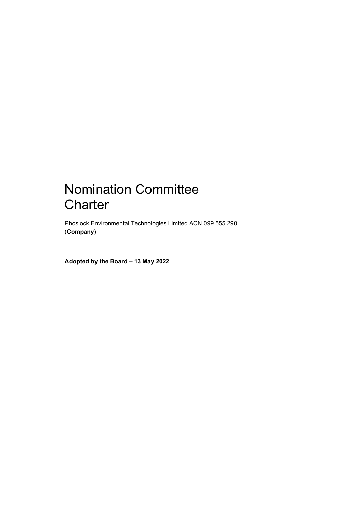# Nomination Committee **Charter**

Phoslock Environmental Technologies Limited ACN 099 555 290 (**Company**)

**Adopted by the Board – 13 May 2022**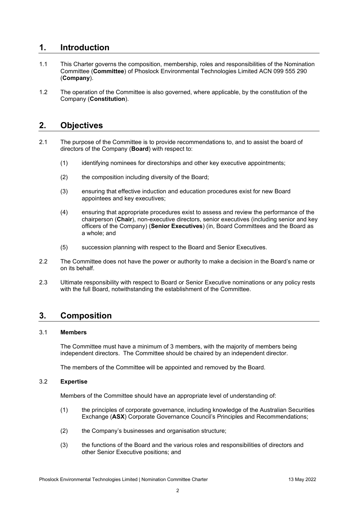### **1. Introduction**

- 1.1 This Charter governs the composition, membership, roles and responsibilities of the Nomination Committee (**Committee**) of Phoslock Environmental Technologies Limited ACN 099 555 290 (**Company**).
- 1.2 The operation of the Committee is also governed, where applicable, by the constitution of the Company (**Constitution**).

### **2. Objectives**

- 2.1 The purpose of the Committee is to provide recommendations to, and to assist the board of directors of the Company (**Board**) with respect to:
	- (1) identifying nominees for directorships and other key executive appointments;
	- (2) the composition including diversity of the Board;
	- (3) ensuring that effective induction and education procedures exist for new Board appointees and key executives;
	- (4) ensuring that appropriate procedures exist to assess and review the performance of the chairperson (**Chair**), non-executive directors, senior executives (including senior and key officers of the Company) (**Senior Executives**) (in, Board Committees and the Board as a whole; and
	- (5) succession planning with respect to the Board and Senior Executives.
- 2.2 The Committee does not have the power or authority to make a decision in the Board's name or on its behalf.
- 2.3 Ultimate responsibility with respect to Board or Senior Executive nominations or any policy rests with the full Board, notwithstanding the establishment of the Committee.

### **3. Composition**

### 3.1 **Members**

The Committee must have a minimum of 3 members, with the majority of members being independent directors. The Committee should be chaired by an independent director.

The members of the Committee will be appointed and removed by the Board.

#### 3.2 **Expertise**

Members of the Committee should have an appropriate level of understanding of:

- (1) the principles of corporate governance, including knowledge of the Australian Securities Exchange (**ASX**) Corporate Governance Council's Principles and Recommendations;
- (2) the Company's businesses and organisation structure;
- (3) the functions of the Board and the various roles and responsibilities of directors and other Senior Executive positions; and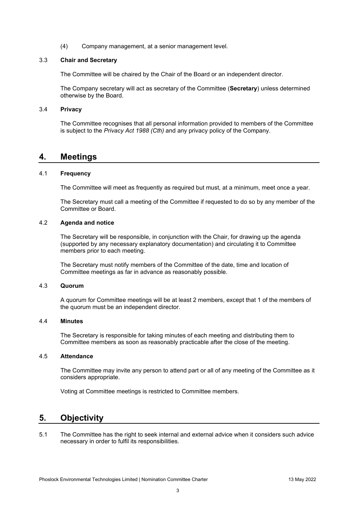(4) Company management, at a senior management level.

#### 3.3 **Chair and Secretary**

The Committee will be chaired by the Chair of the Board or an independent director.

The Company secretary will act as secretary of the Committee (**Secretary**) unless determined otherwise by the Board.

#### 3.4 **Privacy**

The Committee recognises that all personal information provided to members of the Committee is subject to the *Privacy Act 1988 (Cth)* and any privacy policy of the Company.

### **4. Meetings**

#### 4.1 **Frequency**

The Committee will meet as frequently as required but must, at a minimum, meet once a year.

The Secretary must call a meeting of the Committee if requested to do so by any member of the Committee or Board.

#### 4.2 **Agenda and notice**

The Secretary will be responsible, in conjunction with the Chair, for drawing up the agenda (supported by any necessary explanatory documentation) and circulating it to Committee members prior to each meeting.

The Secretary must notify members of the Committee of the date, time and location of Committee meetings as far in advance as reasonably possible.

### 4.3 **Quorum**

A quorum for Committee meetings will be at least 2 members, except that 1 of the members of the quorum must be an independent director.

### 4.4 **Minutes**

The Secretary is responsible for taking minutes of each meeting and distributing them to Committee members as soon as reasonably practicable after the close of the meeting.

#### 4.5 **Attendance**

The Committee may invite any person to attend part or all of any meeting of the Committee as it considers appropriate.

Voting at Committee meetings is restricted to Committee members.

### **5. Objectivity**

5.1 The Committee has the right to seek internal and external advice when it considers such advice necessary in order to fulfil its responsibilities.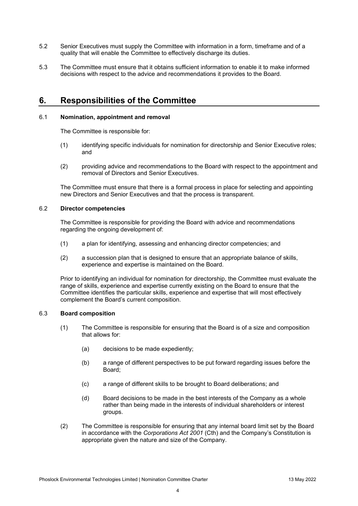- 5.2 Senior Executives must supply the Committee with information in a form, timeframe and of a quality that will enable the Committee to effectively discharge its duties.
- 5.3 The Committee must ensure that it obtains sufficient information to enable it to make informed decisions with respect to the advice and recommendations it provides to the Board.

### **6. Responsibilities of the Committee**

### 6.1 **Nomination, appointment and removal**

The Committee is responsible for:

- (1) identifying specific individuals for nomination for directorship and Senior Executive roles; and
- (2) providing advice and recommendations to the Board with respect to the appointment and removal of Directors and Senior Executives.

The Committee must ensure that there is a formal process in place for selecting and appointing new Directors and Senior Executives and that the process is transparent.

### 6.2 **Director competencies**

The Committee is responsible for providing the Board with advice and recommendations regarding the ongoing development of:

- (1) a plan for identifying, assessing and enhancing director competencies; and
- (2) a succession plan that is designed to ensure that an appropriate balance of skills, experience and expertise is maintained on the Board.

Prior to identifying an individual for nomination for directorship, the Committee must evaluate the range of skills, experience and expertise currently existing on the Board to ensure that the Committee identifies the particular skills, experience and expertise that will most effectively complement the Board's current composition.

#### 6.3 **Board composition**

- (1) The Committee is responsible for ensuring that the Board is of a size and composition that allows for:
	- (a) decisions to be made expediently;
	- (b) a range of different perspectives to be put forward regarding issues before the Board;
	- (c) a range of different skills to be brought to Board deliberations; and
	- (d) Board decisions to be made in the best interests of the Company as a whole rather than being made in the interests of individual shareholders or interest groups.
- (2) The Committee is responsible for ensuring that any internal board limit set by the Board in accordance with the *Corporations Act 2001* (Cth) and the Company's Constitution is appropriate given the nature and size of the Company.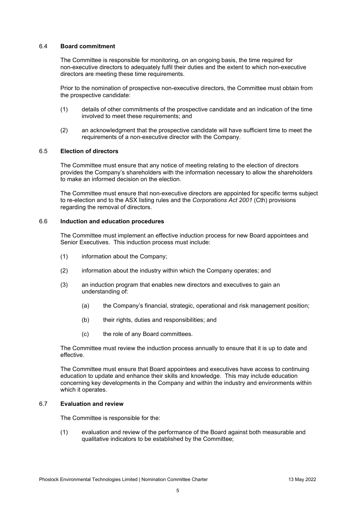### 6.4 **Board commitment**

The Committee is responsible for monitoring, on an ongoing basis, the time required for non-executive directors to adequately fulfil their duties and the extent to which non-executive directors are meeting these time requirements.

Prior to the nomination of prospective non-executive directors, the Committee must obtain from the prospective candidate:

- (1) details of other commitments of the prospective candidate and an indication of the time involved to meet these requirements; and
- (2) an acknowledgment that the prospective candidate will have sufficient time to meet the requirements of a non-executive director with the Company.

### 6.5 **Election of directors**

The Committee must ensure that any notice of meeting relating to the election of directors provides the Company's shareholders with the information necessary to allow the shareholders to make an informed decision on the election.

The Committee must ensure that non-executive directors are appointed for specific terms subject to re-election and to the ASX listing rules and the *Corporations Act 2001* (Cth) provisions regarding the removal of directors.

### 6.6 **Induction and education procedures**

The Committee must implement an effective induction process for new Board appointees and Senior Executives. This induction process must include:

- (1) information about the Company;
- (2) information about the industry within which the Company operates; and
- (3) an induction program that enables new directors and executives to gain an understanding of:
	- (a) the Company's financial, strategic, operational and risk management position;
	- (b) their rights, duties and responsibilities; and
	- (c) the role of any Board committees.

The Committee must review the induction process annually to ensure that it is up to date and effective.

The Committee must ensure that Board appointees and executives have access to continuing education to update and enhance their skills and knowledge. This may include education concerning key developments in the Company and within the industry and environments within which it operates.

### 6.7 **Evaluation and review**

The Committee is responsible for the:

(1) evaluation and review of the performance of the Board against both measurable and qualitative indicators to be established by the Committee;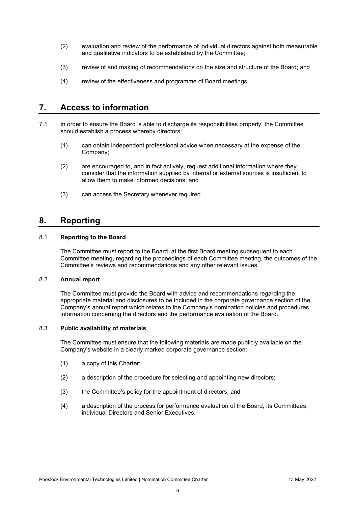- (2) evaluation and review of the performance of individual directors against both measurable and qualitative indicators to be established by the Committee;
- (3) review of and making of recommendations on the size and structure of the Board; and
- (4) review of the effectiveness and programme of Board meetings.

### **7. Access to information**

- 7.1 In order to ensure the Board is able to discharge its responsibilities properly, the Committee should establish a process whereby directors:
	- (1) can obtain independent professional advice when necessary at the expense of the Company;
	- (2) are encouraged to, and in fact actively, request additional information where they consider that the information supplied by internal or external sources is insufficient to allow them to make informed decisions; and
	- (3) can access the Secretary whenever required.

### **8. Reporting**

### 8.1 **Reporting to the Board**

The Committee must report to the Board, at the first Board meeting subsequent to each Committee meeting, regarding the proceedings of each Committee meeting, the outcomes of the Committee's reviews and recommendations and any other relevant issues.

### 8.2 **Annual report**

The Committee must provide the Board with advice and recommendations regarding the appropriate material and disclosures to be included in the corporate governance section of the Company's annual report which relates to the Company's nomination policies and procedures, information concerning the directors and the performance evaluation of the Board.

### 8.3 **Public availability of materials**

The Committee must ensure that the following materials are made publicly available on the Company's website in a clearly marked corporate governance section:

- (1) a copy of this Charter;
- (2) a description of the procedure for selecting and appointing new directors;
- (3) the Committee's policy for the appointment of directors; and
- (4) a description of the process for performance evaluation of the Board, its Committees, individual Directors and Senior Executives.